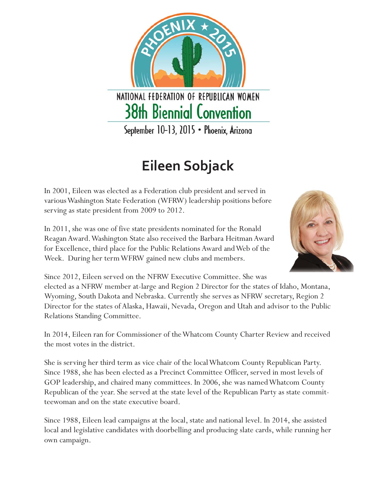NATIONAL FEDERATION OF REPUBLICAN WOMEN **38th Biennial Convention** September 10-13, 2015 · Phoenix, Arizona

## **Eileen Sobjack**

In 2001, Eileen was elected as a Federation club president and served in various Washington State Federation (WFRW) leadership positions before serving as state president from 2009 to 2012.

In 2011, she was one of five state presidents nominated for the Ronald Reagan Award. Washington State also received the Barbara Heitman Award for Excellence, third place for the Public Relations Award and Web of the Week. During her term WFRW gained new clubs and members.



Since 2012, Eileen served on the NFRW Executive Committee. She was elected as a NFRW member at-large and Region 2 Director for the states of Idaho, Montana, Wyoming, South Dakota and Nebraska. Currently she serves as NFRW secretary, Region 2 Director for the states of Alaska, Hawaii, Nevada, Oregon and Utah and advisor to the Public Relations Standing Committee.

In 2014, Eileen ran for Commissioner of the Whatcom County Charter Review and received the most votes in the district.

She is serving her third term as vice chair of the local Whatcom County Republican Party. Since 1988, she has been elected as a Precinct Committee Officer, served in most levels of GOP leadership, and chaired many committees. In 2006, she was named Whatcom County Republican of the year. She served at the state level of the Republican Party as state committeewoman and on the state executive board.

Since 1988, Eileen lead campaigns at the local, state and national level. In 2014, she assisted local and legislative candidates with doorbelling and producing slate cards, while running her own campaign.